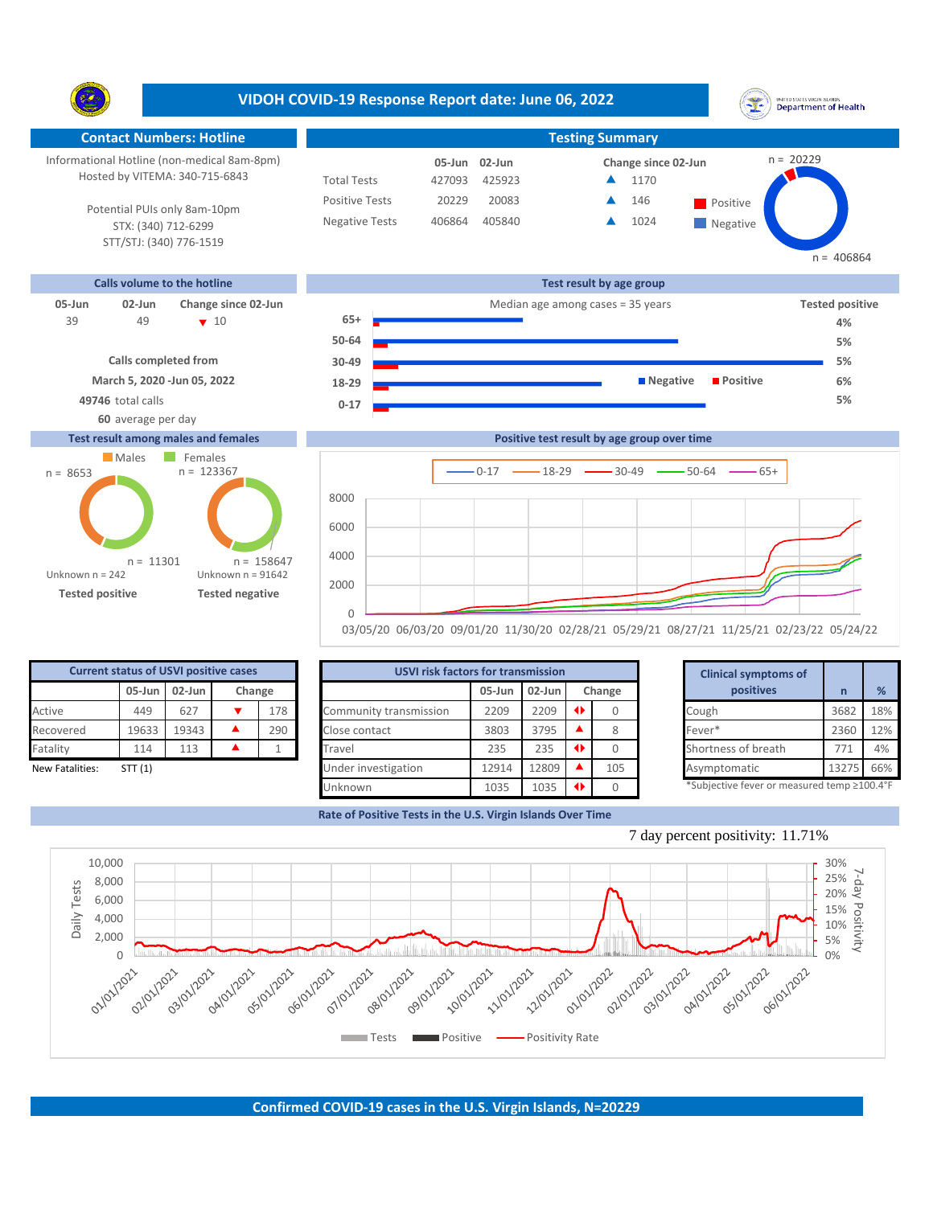|                                                                             |                                                                                                                                                                 | VIDOH COVID-19 Response Report date: June 06, 2022                   |                                     |                                     |                                                      | UNITED STATES VIRGIN ISLANDS<br><b>Department of Health</b>                                        |
|-----------------------------------------------------------------------------|-----------------------------------------------------------------------------------------------------------------------------------------------------------------|----------------------------------------------------------------------|-------------------------------------|-------------------------------------|------------------------------------------------------|----------------------------------------------------------------------------------------------------|
|                                                                             | <b>Contact Numbers: Hotline</b>                                                                                                                                 |                                                                      |                                     |                                     | <b>Testing Summary</b>                               |                                                                                                    |
|                                                                             | Informational Hotline (non-medical 8am-8pm)<br>Hosted by VITEMA: 340-715-6843<br>Potential PUIs only 8am-10pm<br>STX: (340) 712-6299<br>STT/STJ: (340) 776-1519 | <b>Total Tests</b><br><b>Positive Tests</b><br><b>Negative Tests</b> | 05-Jun<br>427093<br>20229<br>406864 | 02-Jun<br>425923<br>20083<br>405840 | Change since 02-Jun<br>▲<br>1170<br>146<br>▲<br>1024 | $n = 20229$<br>Positive<br>$\blacksquare$ Negative<br>$n = 406864$                                 |
|                                                                             | Calls volume to the hotline                                                                                                                                     |                                                                      |                                     |                                     | Test result by age group                             |                                                                                                    |
| $05 - Jun$<br>02-Jun<br>39<br>49<br>49746 total calls<br>60 average per day | Change since 02-Jun<br>$\sqrt{10}$<br><b>Calls completed from</b><br>March 5, 2020 - Jun 05, 2022                                                               | $65+$<br>50-64<br>30-49<br>18-29<br>$0 - 17$                         |                                     |                                     | Median age among cases = 35 years<br><b>Negative</b> | <b>Tested positive</b><br>4%<br>5%<br>5%<br><b>Positive</b><br>6%<br>5%                            |
|                                                                             | <b>Test result among males and females</b>                                                                                                                      |                                                                      |                                     |                                     | Positive test result by age group over time          |                                                                                                    |
| Males<br>$n = 8653$<br>Unknown $n = 242$<br><b>Tested positive</b>          | Females<br>$n = 123367$<br>$n = 158647$<br>$n = 11301$<br>Unknown $n = 91642$<br><b>Tested negative</b>                                                         | 8000<br>6000<br>4000<br>2000<br>$\Omega$                             |                                     | $0 - 17$<br>$-18-29$                | $-30-49$<br>$-50-64$                                 | $65+$<br>03/05/20 06/03/20 09/01/20 11/30/20 02/28/21 05/29/21 08/27/21 11/25/21 02/23/22 05/24/22 |

| <b>Current status of USVI positive cases</b> |       |       |  |     |  |  |  |  |  |  |  |
|----------------------------------------------|-------|-------|--|-----|--|--|--|--|--|--|--|
| 02-Jun<br>05-Jun<br>Change                   |       |       |  |     |  |  |  |  |  |  |  |
| Active                                       | 449   | 627   |  | 178 |  |  |  |  |  |  |  |
| Recovered                                    | 19633 | 19343 |  | 290 |  |  |  |  |  |  |  |
| Fatality                                     | 114   | 113   |  |     |  |  |  |  |  |  |  |
| ありょうし ロッチュ じょうしょう                            | CTTI  |       |  |     |  |  |  |  |  |  |  |

|                 | <b>Current status of USVI positive cases</b> |                     |        | <b>USVI risk factors for transmission</b> |           |        |               |        | <b>Clinical symptoms of</b>                 |       |     |
|-----------------|----------------------------------------------|---------------------|--------|-------------------------------------------|-----------|--------|---------------|--------|---------------------------------------------|-------|-----|
|                 |                                              | $05$ -Jun $02$ -Jun | Change |                                           | $05$ -Jun | 02-Jun |               | Change | positives                                   |       | %   |
| Active          | 449                                          | 627                 | 178    | Community transmission                    | 2209      | 2209   | $\rightarrow$ |        | Cough                                       | 3682  | 18% |
| Recovered       | 19633                                        | 19343               | 290    | Close contact                             | 3803      | 3795   |               | 8      | Fever*                                      | 2360  | 12% |
| Fatality        | 114                                          | 113                 |        | Travel                                    | 235       | 235    | $\rightarrow$ |        | Shortness of breath                         | 771   | 4%  |
| New Fatalities: | STT(1)                                       |                     |        | Under investigation                       | 12914     | 12809  |               | 105    | Asymptomatic                                | 13275 | 66% |
|                 |                                              |                     |        | Unknown                                   | 1035      | 1035   |               |        | *Subjective fever or measured temp ≥100.4°F |       |     |

**Rate of Positive Tests in the U.S. Virgin Islands Over Time**